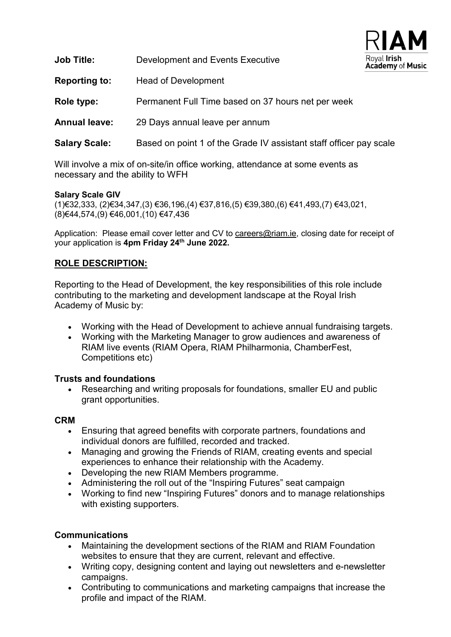| Royal Irish<br>Academy of Music |  |
|---------------------------------|--|

| <b>Job Title:</b>    | <b>Development and Events Executive</b>                            | Royal Iris<br>Academy |
|----------------------|--------------------------------------------------------------------|-----------------------|
| <b>Reporting to:</b> | <b>Head of Development</b>                                         |                       |
| Role type:           | Permanent Full Time based on 37 hours net per week                 |                       |
| <b>Annual leave:</b> | 29 Days annual leave per annum                                     |                       |
| <b>Salary Scale:</b> | Based on point 1 of the Grade IV assistant staff officer pay scale |                       |

Will involve a mix of on-site/in office working, attendance at some events as necessary and the ability to WFH

### **Salary Scale GIV**

(1)€32,333, (2)€34,347,(3) €36,196,(4) €37,816,(5) €39,380,(6) €41,493,(7) €43,021, (8)€44,574,(9) €46,001,(10) €47,436

Application: Please email cover letter and CV to [careers@riam.ie,](mailto:careers@riam.ie) closing date for receipt of your application is **4pm Friday 24th June 2022.**

### **ROLE DESCRIPTION:**

Reporting to the Head of Development, the key responsibilities of this role include contributing to the marketing and development landscape at the Royal Irish Academy of Music by:

- Working with the Head of Development to achieve annual fundraising targets.
- Working with the Marketing Manager to grow audiences and awareness of RIAM live events (RIAM Opera, RIAM Philharmonia, ChamberFest, Competitions etc)

### **Trusts and foundations**

• Researching and writing proposals for foundations, smaller EU and public grant opportunities.

#### **CRM**

- Ensuring that agreed benefits with corporate partners, foundations and individual donors are fulfilled, recorded and tracked.
- Managing and growing the Friends of RIAM, creating events and special experiences to enhance their relationship with the Academy.
- Developing the new RIAM Members programme.
- Administering the roll out of the "Inspiring Futures" seat campaign
- Working to find new "Inspiring Futures" donors and to manage relationships with existing supporters.

### **Communications**

- Maintaining the development sections of the RIAM and RIAM Foundation websites to ensure that they are current, relevant and effective.
- Writing copy, designing content and laying out newsletters and e-newsletter campaigns.
- Contributing to communications and marketing campaigns that increase the profile and impact of the RIAM.